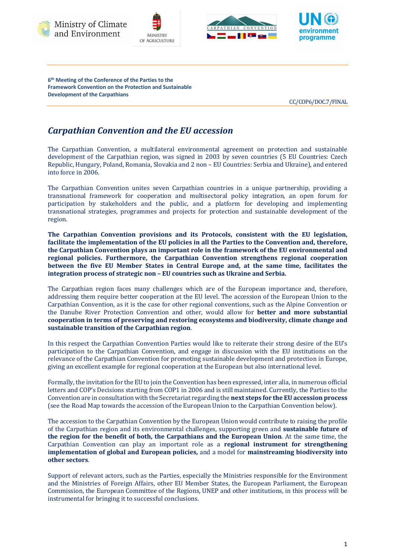









**6th Meeting of the Conference of the Parties to the Framework Convention on the Protection and Sustainable Development of the Carpathians** 

CC/COP6/DOC.7/FINAL

## *Carpathian Convention and the EU accession*

The Carpathian Convention, a multilateral environmental agreement on protection and sustainable development of the Carpathian region, was signed in 2003 by seven countries (5 EU Countries: Czech Republic, Hungary, Poland, Romania, Slovakia and 2 non – EU Countries: Serbia and Ukraine), and entered into force in 2006.

The Carpathian Convention unites seven Carpathian countries in a unique partnership, providing a transnational framework for cooperation and multisectoral policy integration, an open forum for participation by stakeholders and the public, and a platform for developing and implementing transnational strategies, programmes and projects for protection and sustainable development of the region.

The Carpathian Convention provisions and its Protocols, consistent with the EU legislation, facilitate the implementation of the EU policies in all the Parties to the Convention and, therefore, the Carpathian Convention plays an important role in the framework of the EU environmental and regional policies. Furthermore, the Carpathian Convention strengthens regional cooperation **between the five EU Member States in Central Europe and, at the same time, facilitates the integration process of strategic non – EU countries such as Ukraine and Serbia.** 

The Carpathian region faces many challenges which are of the European importance and, therefore, addressing them require better cooperation at the EU level. The accession of the European Union to the Carpathian Convention, as it is the case for other regional conventions, such as the Alpine Convention or the Danube River Protection Convention and other, would allow for **better and more substantial** cooperation in terms of preserving and restoring ecosystems and biodiversity, climate change and sustainable transition of the Carpathian region.

In this respect the Carpathian Convention Parties would like to reiterate their strong desire of the EU's participation to the Carpathian Convention, and engage in discussion with the EU institutions on the relevance of the Carpathian Convention for promoting sustainable development and protection in Europe, giving an excellent example for regional cooperation at the European but also international level.

Formally, the invitation for the EU to join the Convention has been expressed, inter alia, in numerous official letters and COP's Decisions starting from COP1 in 2006 and is still maintained. Currently, the Parties to the Convention are in consultation with the Secretariat regarding the **next steps for the EU accession process** (see the Road Map towards the accession of the European Union to the Carpathian Convention below).

The accession to the Carpathian Convention by the European Union would contribute to raising the profile of the Carpathian region and its environmental challenges, supporting green and **sustainable future of the region for the benefit of both, the Carpathians and the European Union**. At the same time, the Carpathian Convention can play an important role as a **regional instrument for strengthening implementation of global and European policies,** and a model for **mainstreaming biodiversity into other sectors**. 

Support of relevant actors, such as the Parties, especially the Ministries responsible for the Environment and the Ministries of Foreign Affairs, other EU Member States, the European Parliament, the European Commission, the European Committee of the Regions, UNEP and other institutions, in this process will be instrumental for bringing it to successful conclusions.